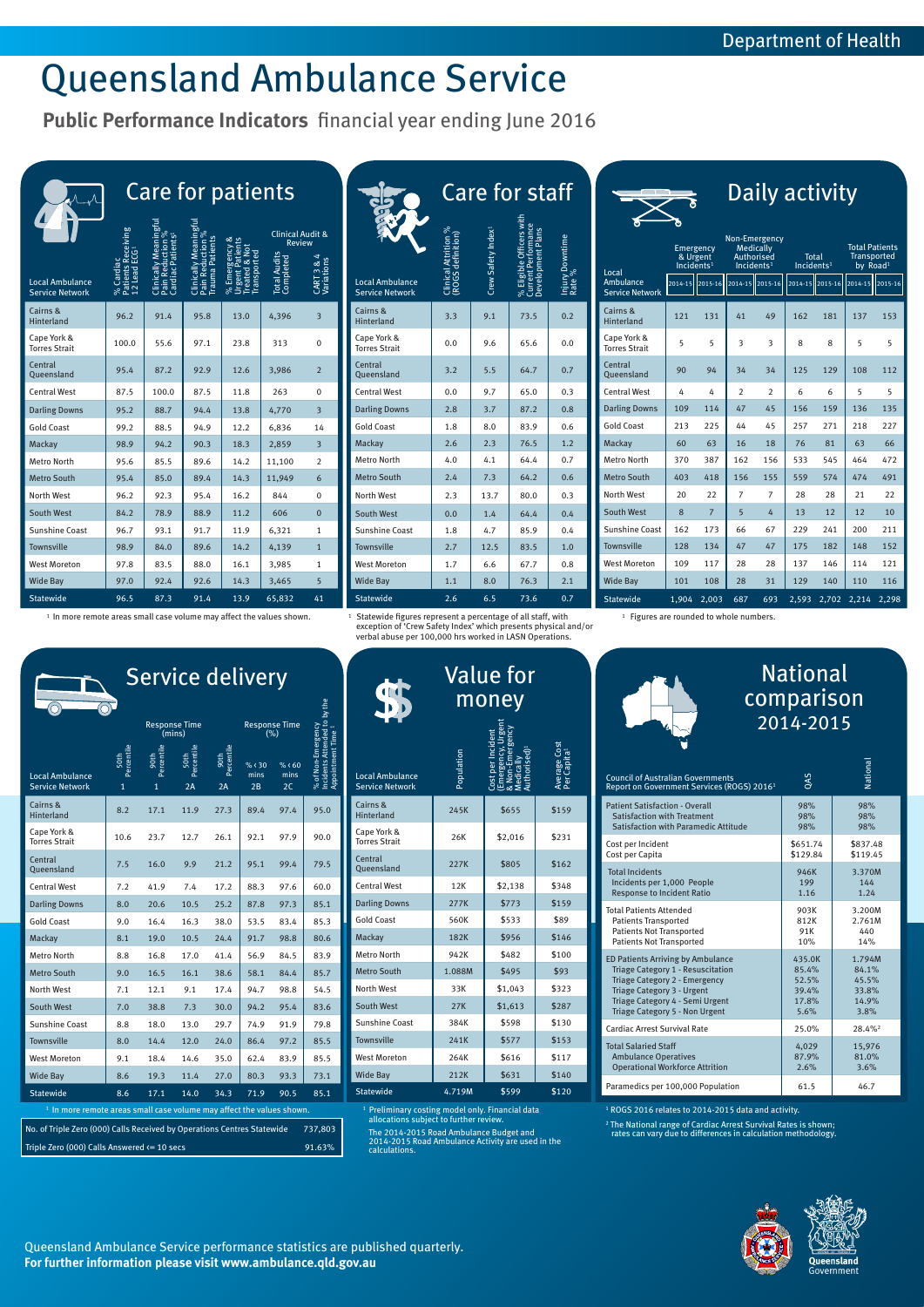Statewide 1,904 2,003 687 693 2,593 2,702 2,214 2,298

<sup>1</sup> In more remote areas small case volume may affect the values shown. 15tatewide figures represent a percentage of all staff, with  $\frac{1}{2}$  Figures are rounded to whole numbers.

 $^1\,$  Statewide figures represent a percentage of all staff, with exception of 'Crew Safety Index' which presents physical and/or verbal abuse per 100,000 hrs worked in LASN Operations.

|                                                  | <b>Care for patients</b>                     |                                                                    |                                                         |                                                                 |                                                                                  |                                 |  |  |  |
|--------------------------------------------------|----------------------------------------------|--------------------------------------------------------------------|---------------------------------------------------------|-----------------------------------------------------------------|----------------------------------------------------------------------------------|---------------------------------|--|--|--|
| <b>Local Ambulance</b><br><b>Service Network</b> | Patients Receivi<br>12 Lead ECG<br>% Cardiac | uction %<br><b>Cardiac Patients</b><br>Clinically Mear<br>Pain Red | Pain Reduction %<br>Trauma Patients<br>Clinically Meani | % Emergency &<br>Urgent Patients<br>Treated & Not<br>ransported | <b>Clinical Audit &amp;</b><br><b>Review</b><br><b>Total Audits</b><br>Completed | <b>Variations</b><br>œ.<br>CART |  |  |  |
| Cairns &<br><b>Hinterland</b>                    | 96.2                                         | 91.4                                                               | 95.8                                                    | 13.0                                                            | 4,396                                                                            | 3                               |  |  |  |
| Cape York &<br><b>Torres Strait</b>              | 100.0                                        | 55.6                                                               | 97.1                                                    | 23.8                                                            | 313                                                                              | 0                               |  |  |  |
| Central<br>Queensland                            | 95.4                                         | 87.2                                                               | 92.9                                                    | 12.6                                                            | 3,986                                                                            | $\overline{2}$                  |  |  |  |
| <b>Central West</b>                              | 87.5                                         | 100.0                                                              | 87.5                                                    | 11.8                                                            | 263                                                                              | 0                               |  |  |  |
| <b>Darling Downs</b>                             | 95.2                                         | 88.7                                                               | 94.4                                                    | 13.8                                                            | 4,770                                                                            | $\overline{3}$                  |  |  |  |
| <b>Gold Coast</b>                                | 99.2                                         | 88.5                                                               | 94.9                                                    | 12.2                                                            | 6,836                                                                            | 14                              |  |  |  |
| Mackay                                           | 98.9                                         | 94.2                                                               | 90.3                                                    | 18.3                                                            | 2,859                                                                            | $\overline{3}$                  |  |  |  |
| <b>Metro North</b>                               | 95.6                                         | 85.5                                                               | 89.6                                                    | 14.2                                                            | 11,100                                                                           | $\overline{2}$                  |  |  |  |
| <b>Metro South</b>                               | 95.4                                         | 85.0                                                               | 89.4                                                    | 14.3                                                            | 11,949                                                                           | 6                               |  |  |  |
| <b>North West</b>                                | 96.2                                         | 92.3                                                               | 95.4                                                    | 16.2                                                            | 844                                                                              | 0                               |  |  |  |
| <b>South West</b>                                | 84.2                                         | 78.9                                                               | 88.9                                                    | 11.2                                                            | 606                                                                              | $\overline{0}$                  |  |  |  |
| <b>Sunshine Coast</b>                            | 96.7                                         | 93.1                                                               | 91.7                                                    | 11.9                                                            | 6,321                                                                            | 1                               |  |  |  |
| <b>Townsville</b>                                | 98.9                                         | 84.0                                                               | 89.6                                                    | 14.2                                                            | 4,139                                                                            | $\overline{1}$                  |  |  |  |
| <b>West Moreton</b>                              | 97.8                                         | 83.5                                                               | 88.0                                                    | 16.1                                                            | 3,985                                                                            | $\mathbf{1}$                    |  |  |  |
| <b>Wide Bay</b>                                  | 97.0                                         | 92.4                                                               | 92.6                                                    | 14.3                                                            | 3,465                                                                            | 5                               |  |  |  |
| <b>Statewide</b>                                 | 96.5                                         | 87.3                                                               | 91.4                                                    | 13.9                                                            | 65,832                                                                           | 41                              |  |  |  |

| <b>Council of Australian Governments</b><br>Report on Government Services (ROGS) 2016 <sup>1</sup> | <b>SYO</b> | Vational |
|----------------------------------------------------------------------------------------------------|------------|----------|
| <b>Patient Satisfaction - Overall</b>                                                              | 98%        | 98%      |
| <b>Satisfaction with Treatment</b>                                                                 | 98%        | 98%      |
| Satisfaction with Paramedic Attitude                                                               | 98%        | 98%      |
| Cost per Incident                                                                                  | \$651.74   | \$837.48 |
| Cost per Capita                                                                                    | \$129.84   | \$119.45 |
| <b>Total Incidents</b>                                                                             | 946K       | 3.370M   |
| Incidents per 1,000 People                                                                         | 199        | 144      |
| <b>Response to Incident Ratio</b>                                                                  | 1.16       | 1.24     |
| <b>Total Patients Attended</b>                                                                     | 903K       | 3.200M   |
| <b>Patients Transported</b>                                                                        | 812K       | 2.761M   |
| <b>Patients Not Transported</b>                                                                    | 91K        | 440      |
| <b>Patients Not Transported</b>                                                                    | 10%        | 14%      |
| <b>ED Patients Arriving by Ambulance</b>                                                           | 435.0K     | 1.794M   |
| Triage Category 1 - Resuscitation                                                                  | 85.4%      | 84.1%    |
| Triage Category 2 - Emergency                                                                      | 52.5%      | 45.5%    |
| Triage Category 3 - Urgent                                                                         | 39.4%      | 33.8%    |
| Triage Category 4 - Semi Urgent                                                                    | 17.8%      | 14.9%    |
| Triage Category 5 - Non Urgent                                                                     | 5.6%       | 3.8%     |
| <b>Cardiac Arrest Survival Rate</b>                                                                | 25.0%      | 28.4%    |
| <b>Total Salaried Staff</b>                                                                        | 4,029      | 15,976   |
| <b>Ambulance Operatives</b>                                                                        | 87.9%      | 81.0%    |
| <b>Operational Workforce Attrition</b>                                                             | 2.6%       | 3.6%     |
| Paramedics per 100,000 Population                                                                  | 61.5       | 46.7     |

| S              |                                                |                                                  | <b>Care for staff</b>                     |                                |                                                                      |                           |                                                     |                                                            |                 |
|----------------|------------------------------------------------|--------------------------------------------------|-------------------------------------------|--------------------------------|----------------------------------------------------------------------|---------------------------|-----------------------------------------------------|------------------------------------------------------------|-----------------|
| <b>Review</b>  | ical Audit &<br>A.<br>CART 3 & 4<br>Variations | <b>Local Ambulance</b><br><b>Service Network</b> | Clinical Attrition %<br>(ROGS definition) | Crew Safety Index <sup>1</sup> | % Eligible Officers with<br>Current Performance<br>Development Plans | Injury Downtime<br>Rate % | Local<br><b>Ambulance</b><br><b>Service Network</b> | Emergency<br>& Urgent<br>Incidents <sup>1</sup><br>2014-15 | $12015 - 1$     |
| 6              | $\overline{\mathbf{3}}$                        | Cairns &<br>Hinterland                           | 3.3                                       | 9.1                            | 73.5                                                                 | 0.2                       | Cairns &<br><b>Hinterland</b>                       | 121                                                        | 131             |
|                | $\mathbf{0}$                                   | Cape York &<br><b>Torres Strait</b>              | 0.0                                       | 9.6                            | 65.6                                                                 | 0.0                       | Cape York &<br><b>Torres Strait</b>                 | 5                                                          | 5               |
| 6              | $\overline{2}$                                 | Central<br>Queensland                            | 3.2                                       | 5.5                            | 64.7                                                                 | 0.7                       | Central<br>Queensland                               | 90                                                         | 94              |
|                | $\mathbf{0}$                                   | <b>Central West</b>                              | 0.0                                       | 9.7                            | 65.0                                                                 | 0.3                       | <b>Central West</b>                                 | 4                                                          | 4               |
| 0              | $\overline{\mathbf{3}}$                        | <b>Darling Downs</b>                             | 2.8                                       | 3.7                            | 87.2                                                                 | 0.8                       | <b>Darling Downs</b>                                | 109                                                        | 11 <sup>2</sup> |
| 6              | 14                                             | <b>Gold Coast</b>                                | 1.8                                       | 8.0                            | 83.9                                                                 | 0.6                       | <b>Gold Coast</b>                                   | 213                                                        | 225             |
| 9              | $\overline{\mathbf{3}}$                        | Mackay                                           | 2.6                                       | 2.3                            | 76.5                                                                 | 1.2                       | Mackay                                              | 60                                                         | 63              |
| )0             | $\overline{2}$                                 | <b>Metro North</b>                               | 4.0                                       | 4.1                            | 64.4                                                                 | 0.7                       | <b>Metro North</b>                                  | 370                                                        | 387             |
| i9             | 6                                              | <b>Metro South</b>                               | 2.4                                       | 7.3                            | 64.2                                                                 | 0.6                       | <b>Metro South</b>                                  | 403                                                        | 418             |
|                | $\mathbf{0}$                                   | <b>North West</b>                                | 2.3                                       | 13.7                           | 80.0                                                                 | 0.3                       | <b>North West</b>                                   | 20                                                         | 22              |
|                | $\mathbf{0}$                                   | <b>South West</b>                                | 0.0                                       | 1.4                            | 64.4                                                                 | 0.4                       | <b>South West</b>                                   | 8                                                          | $\overline{7}$  |
| 1              | $\mathbf{1}$                                   | <b>Sunshine Coast</b>                            | 1.8                                       | 4.7                            | 85.9                                                                 | 0.4                       | <b>Sunshine Coast</b>                               | 162                                                        | 173             |
| 9              | $\overline{1}$                                 | <b>Townsville</b>                                | 2.7                                       | 12.5                           | 83.5                                                                 | 1.0                       | Townsville                                          | 128                                                        | 134             |
| 5              | $\mathbf{1}$                                   | <b>West Moreton</b>                              | 1.7                                       | 6.6                            | 67.7                                                                 | 0.8                       | <b>West Moreton</b>                                 | 109                                                        | 117             |
| 5              | $5\overline{)}$                                | <b>Wide Bay</b>                                  | 1.1                                       | 8.0                            | 76.3                                                                 | 2.1                       | <b>Wide Bay</b>                                     | 101                                                        | 108             |
| $\overline{2}$ | 41                                             | <b>Statewide</b>                                 | 2.6                                       | 6.5                            | 73.6                                                                 | 0.7                       | Statewide                                           | 1,904                                                      | 2,00            |

# Queensland Ambulance Service

**Public Performance Indicators** financial year ending June 2016

Queensland Ambulance Service performance statistics are published quarterly. **For further information please visit www.ambulance.qld.gov.au**



|                                            | δ                                   |                |                                                                 |                |                                        |         |                                                                     |         |  |
|--------------------------------------------|-------------------------------------|----------------|-----------------------------------------------------------------|----------------|----------------------------------------|---------|---------------------------------------------------------------------|---------|--|
| Local                                      | Emergency<br>Incidents <sup>1</sup> | & Urgent       | <b>Medically</b><br><b>Authorised</b><br>Incidents <sup>1</sup> | Non-Emergency  | <b>Total</b><br>Incidents <sup>1</sup> |         | <b>Total Patients</b><br><b>Transported</b><br>by Road <sup>1</sup> |         |  |
| <b>Ambulance</b><br><b>Service Network</b> | 2014-15                             | 2015-16        | 2014-15                                                         | 2015-16        | 2014-15                                | 2015-16 | 2014-15                                                             | 2015-16 |  |
| <b>Cairns &amp;</b><br>Hinterland          | 121                                 | 131            | 41                                                              | 49             | 162                                    | 181     | 137                                                                 | 153     |  |
| Cape York &<br><b>Torres Strait</b>        | 5                                   | 5              | 3                                                               | 3              | 8                                      | 8       | 5                                                                   | 5       |  |
| Central<br>Queensland                      | 90                                  | 94             | 34                                                              | 34             | 125                                    | 129     | 108                                                                 | 112     |  |
| <b>Central West</b>                        | 4                                   | 4              | $\overline{2}$                                                  | $\overline{2}$ | 6                                      | 6       | 5                                                                   | 5       |  |
| <b>Darling Downs</b>                       | 109                                 | 114            | 47                                                              | 45             | 156                                    | 159     | 136                                                                 | 135     |  |
| <b>Gold Coast</b>                          | 213                                 | 225            | 44                                                              | 45             | 257                                    | 271     | 218                                                                 | 227     |  |
| Mackay                                     | 60                                  | 63             | 16                                                              | 18             | 76                                     | 81      | 63                                                                  | 66      |  |
| Metro North                                | 370                                 | 387            | 162                                                             | 156            | 533                                    | 545     | 464                                                                 | 472     |  |
| <b>Metro South</b>                         | 403                                 | 418            | 156                                                             | 155            | 559                                    | 574     | 474                                                                 | 491     |  |
| <b>North West</b>                          | 20                                  | 22             | 7                                                               | 7              | 28                                     | 28      | 21                                                                  | 22      |  |
| <b>South West</b>                          | 8                                   | $\overline{7}$ | 5                                                               | 4              | 13                                     | 12      | 12                                                                  | 10      |  |
| Sunshine Coast                             | 162                                 | 173            | 66                                                              | 67             | 229                                    | 241     | 200                                                                 | 211     |  |
| <b>Townsville</b>                          | 128                                 | 134            | 47                                                              | 47             | 175                                    | 182     | 148                                                                 | 152     |  |
| <b>West Moreton</b>                        | 109                                 | 117            | 28                                                              | 28             | 137                                    | 146     | 114                                                                 | 121     |  |
| <b>Wide Bav</b>                            | 101                                 | 108            | 28                                                              | 31             | 129                                    | 140     | 110                                                                 | 116     |  |

Daily activity

| <u>money</u>                                     |            |          |                    |  |  |  |  |  |
|--------------------------------------------------|------------|----------|--------------------|--|--|--|--|--|
| <b>Local Ambulance</b><br><b>Service Network</b> | Population | Cost per | Capita<br>Werage C |  |  |  |  |  |
| Cairns &<br><b>Hinterland</b>                    | 245K       | \$655    | \$159              |  |  |  |  |  |
| Cape York &<br><b>Torres Strait</b>              | 26K        | \$2,016  | \$231              |  |  |  |  |  |
| Central<br>Queensland                            | 227K       | \$805    | \$162              |  |  |  |  |  |
| <b>Central West</b>                              | 12K        | \$2,138  | \$348              |  |  |  |  |  |
| <b>Darling Downs</b>                             | 277K       | \$773    | \$159              |  |  |  |  |  |
| <b>Gold Coast</b>                                | 560K       | \$533    | \$89               |  |  |  |  |  |
| Mackay                                           | 182K       | \$956    | \$146              |  |  |  |  |  |
| <b>Metro North</b>                               | 942K       | \$482    | \$100              |  |  |  |  |  |
| <b>Metro South</b>                               | 1.088M     | \$495    | \$93               |  |  |  |  |  |
| <b>North West</b>                                | 33K        | \$1,043  | \$323              |  |  |  |  |  |
| <b>South West</b>                                | 27K        | \$1,613  | \$287              |  |  |  |  |  |
| <b>Sunshine Coast</b>                            | 384K       | \$598    | \$130              |  |  |  |  |  |
| <b>Townsville</b>                                | 241K       | \$577    | \$153              |  |  |  |  |  |
| <b>West Moreton</b>                              | 264K       | \$616    | \$117              |  |  |  |  |  |
| <b>Wide Bay</b>                                  | 212K       | \$631    | \$140              |  |  |  |  |  |
| <b>Statewide</b>                                 | 4.719M     | \$599    | \$120              |  |  |  |  |  |

1 Preliminary costing model only. Financial data allocations subject to further review.

|                                                  |                    |                    | <b>Service delivery</b>                                    |                          |                    |                                                   | the                                                                                 |                                                  |            | <b>Value for</b><br>money                                                                   |                                         |                                                                                                    | <b>National</b><br>compariso<br>2014-2015 |  |
|--------------------------------------------------|--------------------|--------------------|------------------------------------------------------------|--------------------------|--------------------|---------------------------------------------------|-------------------------------------------------------------------------------------|--------------------------------------------------|------------|---------------------------------------------------------------------------------------------|-----------------------------------------|----------------------------------------------------------------------------------------------------|-------------------------------------------|--|
| <b>Local Ambulance</b><br><b>Service Network</b> | 50th<br>Percentile | 90th<br>Percentile | <b>Response Time</b><br>(mins)<br>50th<br>Percentile<br>2A | 90th<br>Percentile<br>2A | % 30<br>mins<br>2B | <b>Response Time</b><br>(%)<br>% 60<br>mins<br>2C | gency<br>ided to<br>ime <sup>1</sup><br>Incidents<br>Appointm<br>غ<br>R<br>۴ō<br>ಸ್ | <b>Local Ambulance</b><br><b>Service Network</b> | Population | (Emergency, Urgen<br>& Non-Emergency<br>Medically<br>Authorised) <sup>1</sup><br><b>SEL</b> | Average Cost<br>Per Capita <sup>1</sup> | <b>Council of Australian Governments</b><br>Report on Government Services (ROGS) 2016 <sup>1</sup> | QAS                                       |  |
| Cairns &<br><b>Hinterland</b>                    | 8.2                | 17.1               | 11.9                                                       | 27.3                     | 89.4               | 97.4                                              | 95.0                                                                                | Cairns &<br><b>Hinterland</b>                    | 245K       | \$655                                                                                       | \$159                                   | <b>Patient Satisfaction - Overall</b><br><b>Satisfaction with Treatment</b>                        | 98%<br>98%                                |  |
| Cape York &<br><b>Torres Strait</b>              | 10.6               | 23.7               | 12.7                                                       | 26.1                     | 92.1               | 97.9                                              | 90.0                                                                                | Cape York &<br><b>Torres Strait</b>              | 26K        | \$2,016                                                                                     | \$231                                   | Satisfaction with Paramedic Attitude<br>Cost per Incident                                          | 98%<br>\$651.74                           |  |
| Central<br>Queensland                            | 7.5                | 16.0               | 9.9                                                        | 21.2                     | 95.1               | 99.4                                              | 79.5                                                                                | Central<br>Queensland                            | 227K       | \$805                                                                                       | \$162                                   | Cost per Capita<br><b>Total Incidents</b>                                                          | \$129.84<br>946K                          |  |
| <b>Central West</b>                              | 7.2                | 41.9               | 7.4                                                        | 17.2                     | 88.3               | 97.6                                              | 60.0                                                                                | <b>Central West</b>                              | 12K        | \$2,138                                                                                     | \$348                                   | Incidents per 1,000 People<br><b>Response to Incident Ratio</b>                                    | 199<br>1.16                               |  |
| <b>Darling Downs</b>                             | 8.0                | 20.6               | 10.5                                                       | 25.2                     | 87.8               | 97.3                                              | 85.1                                                                                | <b>Darling Downs</b>                             | 277K       | \$773                                                                                       | \$159                                   | <b>Total Patients Attended</b>                                                                     | 903K                                      |  |
| <b>Gold Coast</b>                                | 9.0                | 16.4               | 16.3                                                       | 38.0                     | 53.5               | 83.4                                              | 85.3                                                                                | <b>Gold Coast</b>                                | 560K       | \$533                                                                                       | \$89                                    | <b>Patients Transported</b>                                                                        | 812K                                      |  |
| Mackay                                           | 8.1                | 19.0               | 10.5                                                       | 24.4                     | 91.7               | 98.8                                              | 80.6                                                                                | Mackay                                           | 182K       | \$956                                                                                       | \$146                                   | <b>Patients Not Transported</b><br><b>Patients Not Transported</b>                                 | 91K<br>10%                                |  |
| Metro North                                      | 8.8                | 16.8               | 17.0                                                       | 41.4                     | 56.9               | 84.5                                              | 83.9                                                                                | <b>Metro North</b>                               | 942K       | \$482                                                                                       | \$100                                   | <b>ED Patients Arriving by Ambulance</b>                                                           | 435.0K                                    |  |
| <b>Metro South</b>                               | 9.0                | 16.5               | 16.1                                                       | 38.6                     | 58.1               | 84.4                                              | 85.7                                                                                | <b>Metro South</b>                               | 1.088M     | \$495                                                                                       | \$93                                    | Triage Category 1 - Resuscitation<br>Triage Category 2 - Emergency                                 | 85.4%<br>52.5%                            |  |
| North West                                       | 7.1                | 12.1               | 9.1                                                        | 17.4                     | 94.7               | 98.8                                              | 54.5                                                                                | <b>North West</b>                                | 33K        | \$1,043                                                                                     | \$323                                   | Triage Category 3 - Urgent                                                                         | 39.4%                                     |  |
| <b>South West</b>                                | 7.0                | 38.8               | 7.3                                                        | 30.0                     | 94.2               | 95.4                                              | 83.6                                                                                | <b>South West</b>                                | 27K        | \$1,613                                                                                     | \$287                                   | Triage Category 4 - Semi Urgent<br>Triage Category 5 - Non Urgent                                  | 17.8%<br>5.6%                             |  |
| <b>Sunshine Coast</b>                            | 8.8                | 18.0               | 13.0                                                       | 29.7                     | 74.9               | 91.9                                              | 79.8                                                                                | <b>Sunshine Coast</b>                            | 384K       | \$598                                                                                       | \$130                                   | <b>Cardiac Arrest Survival Rate</b>                                                                | 25.0%                                     |  |
| <b>Townsville</b>                                | 8.0                | 14.4               | 12.0                                                       | 24.0                     | 86.4               | 97.2                                              | 85.5                                                                                | Townsville                                       | 241K       | \$577                                                                                       | \$153                                   | <b>Total Salaried Staff</b>                                                                        | 4,029                                     |  |
| <b>West Moreton</b>                              | 9.1                | 18.4               | 14.6                                                       | 35.0                     | 62.4               | 83.9                                              | 85.5                                                                                | West Moreton                                     | 264K       | \$616                                                                                       | \$117                                   | <b>Ambulance Operatives</b>                                                                        | 87.9%                                     |  |
| <b>Wide Bay</b>                                  | 8.6                | 19.3               | 11.4                                                       | 27.0                     | 80.3               | 93.3                                              | 73.1                                                                                | <b>Wide Bay</b>                                  | 212K       | \$631                                                                                       | \$140                                   | <b>Operational Workforce Attrition</b>                                                             | 2.6%                                      |  |
| <b>Statewide</b>                                 | 8.6                | 17.1               | 14.0                                                       | 34.3                     | 71.9               | 90.5                                              | 85.1                                                                                | <b>Statewide</b>                                 | 4.719M     | \$599                                                                                       | \$120                                   | Paramedics per 100,000 Population                                                                  | 61.5                                      |  |

 The 2014-2015 Road Ambulance Budget and 2014-2015 Road Ambulance Activity are used in the calculations.



1 ROGS 2016 relates to 2014-2015 data and activity.

2 The National range of Cardiac Arrest Survival Rates is shown; rates can vary due to differences in calculation methodology.

| No. of Triple Zero (000) Calls Received by Operations Centres Statewide | 737,803 |
|-------------------------------------------------------------------------|---------|
| Triple Zero (000) Calls Answered $\epsilon$ = 10 secs                   | 91.63%  |

|  |  | $\frac{1}{2}$ In more remote areas small case volume may affect the values shown. |
|--|--|-----------------------------------------------------------------------------------|
|--|--|-----------------------------------------------------------------------------------|